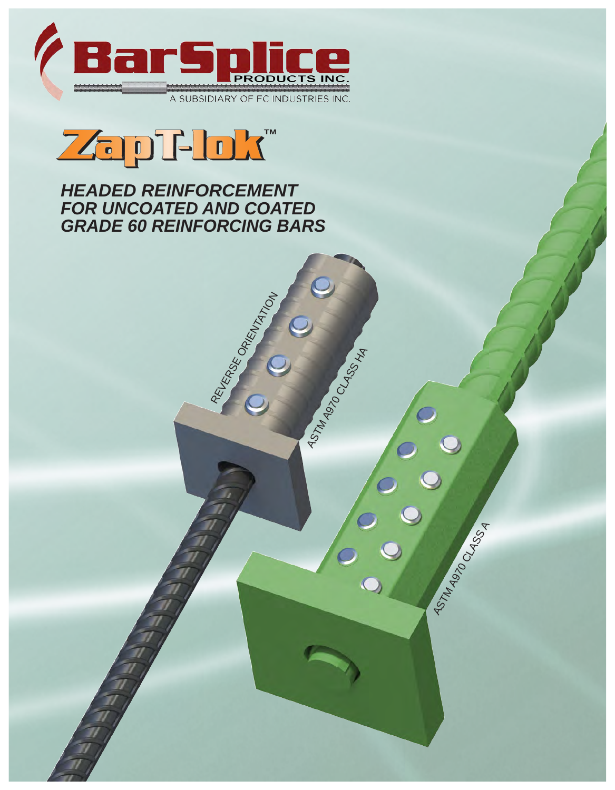



*HEADED REINFORCEMENT FOR UNCOATED AND COATED GRADE 60 REINFORCING BARS*

REVERSE ORIENTATION

ASTM A970 CLASS HA

ASTM A970 CLASS A